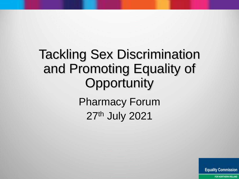# Tackling Sex Discrimination and Promoting Equality of **Opportunity** Pharmacy Forum

27th July 2021

**Equality Commission**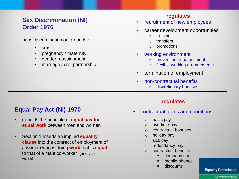### **Sex Discrimination (NI) Order 1976**

bans discrimination on grounds of:

- sex
- pregnancy / maternity
- gender reassignment
- marriage / civil partnership

#### **regulates**

- recruitment of new employees
- career development opportunities
	- o training
	- o transfers
	- o promotions
- working environment
	- o prevention of harassment
	- o flexible working arrangements
- termination of employment
- non-contractual benefits
	- o discretionary bonuses

### **Equal Pay Act (NI) 1970**

- upholds the principle of **equal pay for equal work** between men and women
- Section 1 inserts an implied **equality clause** into the contract of employment of a woman who is doing **work** that is **equal**  to that of a male co-worker (and vice versa)

#### **regulates**

- contractual terms and conditions
	- o basic pay
	- o overtime pay
	- o contractual bonuses
	- o holiday pay
	- o sick pay
	- o redundancy pay
	- o contractual benefits
		- company car
		- mobile phones
		- discounts

#### **Equality Commission**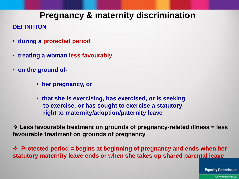## **Pregnancy & maternity discrimination**

### **DEFINITION**

- **during a protected period**
- **treating a woman less favourably**
- **on the ground of-**
	- **her pregnancy, or**
	- **that she is exercising, has exercised, or is seeking to exercise, or has sought to exercise a statutory right to maternity/adoption/paternity leave**

❖ **Less favourable treatment on grounds of pregnancy-related illness = less favourable treatment on grounds of pregnancy**

❖ **Protected period = begins at beginning of pregnancy and ends when her statutory maternity leave ends or when she takes up shared parental leave** 

**Equality Commission**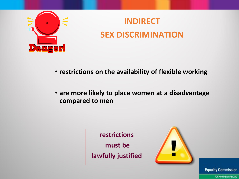

## **INDIRECT SEX DISCRIMINATION**

- **restrictions on the availability of flexible working**
- **are more likely to place women at a disadvantage compared to men**





**Equality Commission**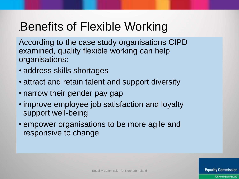## .Benefits of Flexible Working

According to the case study organisations CIPD examined, quality flexible working can help organisations:

- address skills shortages
- attract and retain talent and support diversity
- narrow their gender pay gap
- improve employee job satisfaction and loyalty support well-being
- empower organisations to be more agile and responsive to change

Equality Commission for Northern Ireland

**Equality Commission**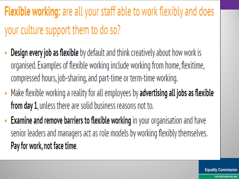# **Flexible working:** are all your staff able to work flexibly and does your culture support them to do so?

- **Design every job as flexible** by default and think creatively about how work is ۰ organised. Examples of flexible working include working from home, flexitime, compressed hours, job-sharing, and part-time or term-time working.
- Make flexible working a reality for all employees by advertising all jobs as flexible from day 1, unless there are solid business reasons not to.
- Examine and remove barriers to flexible working in your organisation and have senior leaders and managers act as role models by working flexibly themselves. Pay for work, not face time.

**Equality Commission**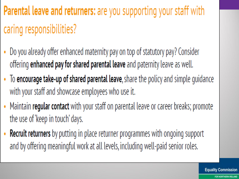# **Parental leave and returners:** are you supporting your staff with caring responsibilities?

- Do you already offer enhanced maternity pay on top of statutory pay? Consider offering enhanced pay for shared parental leave and paternity leave as well.
- To encourage take-up of shared parental leave, share the policy and simple guidance with your staff and showcase employees who use it.
- Maintain regular contact with your staff on parental leave or career breaks; promote the use of 'keep in touch' days.
- Recruit returners by putting in place returner programmes with ongoing support and by offering meaningful work at all levels, including well-paid senior roles.

**Equality Commission**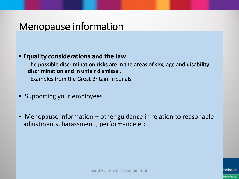## Menopause information

### • **Equality considerations and the law**

The **possible discrimination risks are in the areas of sex, age and disability discrimination and in unfair dismissal.** 

Examples from the Great Britain Tribunals

- Supporting your employees
- Menopause information  $-$  other guidance in relation to reasonable adjustments, harassment , performance etc.

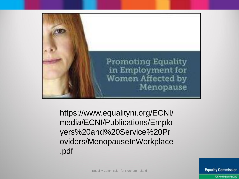

https://www.equalityni.org/ECNI/ media/ECNI/Publications/Emplo yers%20and%20Service%20Pr oviders/MenopauseInWorkplace .pdf

Equality Commission for Northern Ireland

**Equality Commission**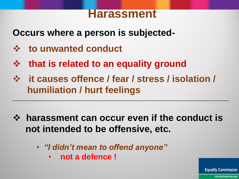## **Harassment**

**Occurs where a person is subjected-**

- ❖ **to unwanted conduct**
- ❖ **that is related to an equality ground**
- ❖ **it causes offence / fear / stress / isolation / humiliation / hurt feelings**
- ❖ **harassment can occur even if the conduct is not intended to be offensive, etc.**
	- *"I didn't mean to offend anyone"* 
		- **not a defence !**

**Equality Commission**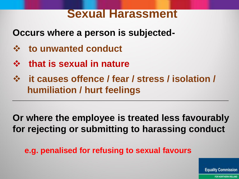## **Sexual Harassment**

**Occurs where a person is subjected-**

- ❖ **to unwanted conduct**
- ❖ **that is sexual in nature**
- ❖ **it causes offence / fear / stress / isolation / humiliation / hurt feelings**

**Or where the employee is treated less favourably for rejecting or submitting to harassing conduct**

**e.g. penalised for refusing to sexual favours**

**Equality Commission**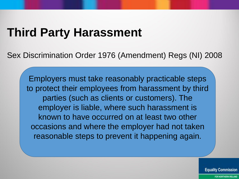## **Third Party Harassment**

Sex Discrimination Order 1976 (Amendment) Regs (NI) 2008

Employers must take reasonably practicable steps to protect their employees from harassment by third parties (such as clients or customers). The employer is liable, where such harassment is known to have occurred on at least two other occasions and where the employer had not taken reasonable steps to prevent it happening again.

**Equality Commission**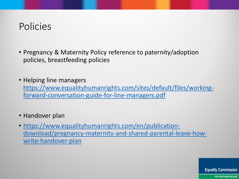## Policies

- Pregnancy & Maternity Policy reference to paternity/adoption policies, breastfeeding policies
- Helping line managers [https://www.equalityhumanrights.com/sites/default/files/working](https://www.equalityhumanrights.com/sites/default/files/working-forward-conversation-guide-for-line-managers.pdf)forward-conversation-guide-for-line-managers.pdf

• Handover plan

• https://www.equalityhumanrights.com/en/publication[download/pregnancy-maternity-and-shared-parental-leave-how](https://www.equalityhumanrights.com/en/publication-download/pregnancy-maternity-and-shared-parental-leave-how-write-handover-plan)write-handover-plan

**Equality Commission**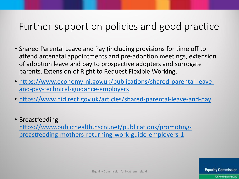## Further support on policies and good practice

- Shared Parental Leave and Pay (including provisions for time off to attend antenatal appointments and pre-adoption meetings, extension of adoption leave and pay to prospective adopters and surrogate parents. Extension of Right to Request Flexible Working.
- [https://www.economy-ni.gov.uk/publications/shared-parental-leave](https://www.economy-ni.gov.uk/publications/shared-parental-leave-and-pay-technical-guidance-employers)and-pay-technical-guidance-employers
- <https://www.nidirect.gov.uk/articles/shared-parental-leave-and-pay>
- Breastfeeding [https://www.publichealth.hscni.net/publications/promoting](https://www.publichealth.hscni.net/publications/promoting-breastfeeding-mothers-returning-work-guide-employers-1)breastfeeding-mothers-returning-work-guide-employers-1

Equality Commission for Northern Ireland

FOR NORTHERN IRELAND

**Equality Commission**